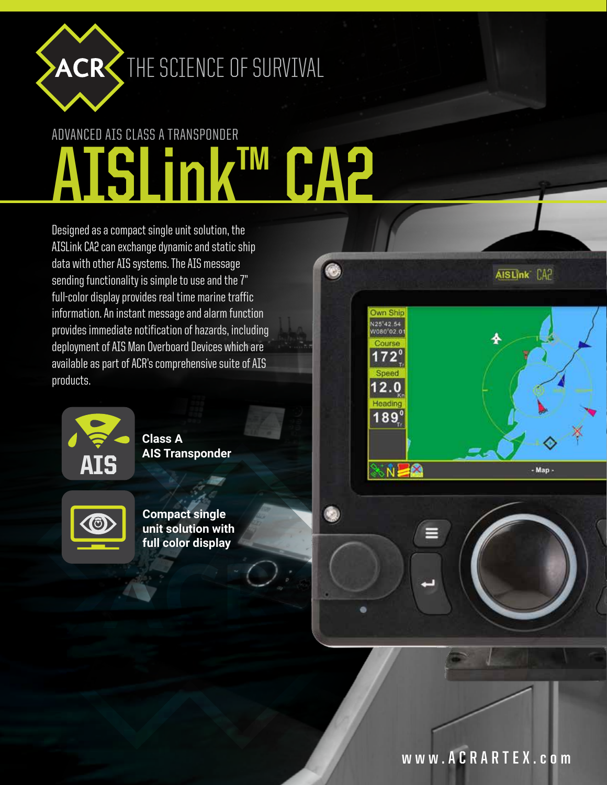

## ACR THE SCIENCE OF SURVIVAL

## ADVANCED AIS CLASS A TRANSPONDER **AISLink™ CA2**

 $\bullet$ 

Designed as a compact single unit solution, the AISLink CA2 can exchange dynamic and static ship data with other AIS systems. The AIS message sending functionality is simple to use and the 7" full-color display provides real time marine traffic information. An instant message and alarm function provides immediate notification of hazards, including deployment of AIS Man Overboard Devices which are available as part of ACR's comprehensive suite of AIS products.



**Class A AIS Transponder**



**Compact single unit solution with full color display**



AISLINK CA?